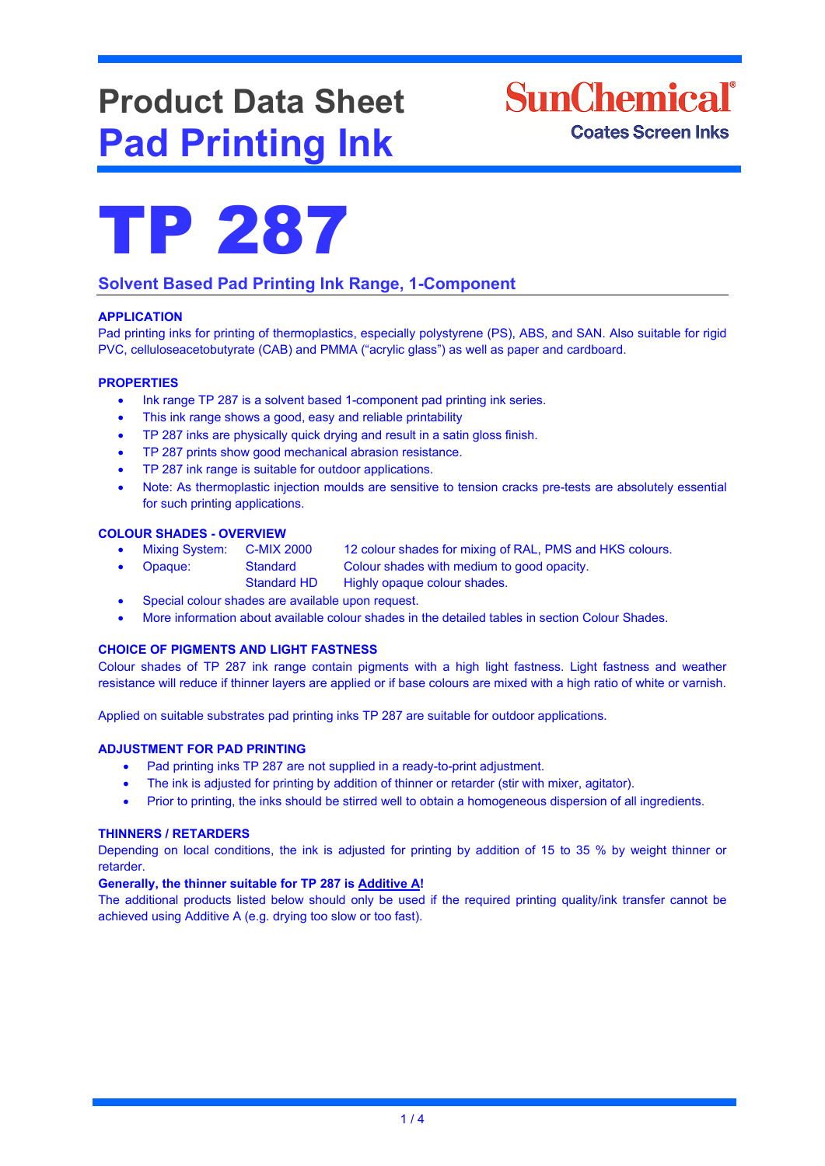# **Product Data Sheet Pad Printing Ink**





### **Solvent Based Pad Printing Ink Range, 1-Component**

#### **APPLICATION**

Pad printing inks for printing of thermoplastics, especially polystyrene (PS), ABS, and SAN. Also suitable for rigid PVC, celluloseacetobutyrate (CAB) and PMMA ("acrylic glass") as well as paper and cardboard.

#### **PROPERTIES**

- Ink range TP 287 is a solvent based 1-component pad printing ink series.
- This ink range shows a good, easy and reliable printability
- TP 287 inks are physically quick drying and result in a satin gloss finish.
- TP 287 prints show good mechanical abrasion resistance.
- TP 287 ink range is suitable for outdoor applications.
- Note: As thermoplastic injection moulds are sensitive to tension cracks pre-tests are absolutely essential for such printing applications.

## **COLOUR SHADES - OVERVIEW**

12 colour shades for mixing of RAL, PMS and HKS colours.

- Opaque: Standard Colour shades with medium to good opacity.
	- Standard HD Highly opaque colour shades.
- Special colour shades are available upon request.
- More information about available colour shades in the detailed tables in section Colour Shades.

#### **CHOICE OF PIGMENTS AND LIGHT FASTNESS**

Colour shades of TP 287 ink range contain pigments with a high light fastness. Light fastness and weather resistance will reduce if thinner layers are applied or if base colours are mixed with a high ratio of white or varnish.

Applied on suitable substrates pad printing inks TP 287 are suitable for outdoor applications.

#### **ADJUSTMENT FOR PAD PRINTING**

- Pad printing inks TP 287 are not supplied in a ready-to-print adjustment.
- The ink is adjusted for printing by addition of thinner or retarder (stir with mixer, agitator).
- Prior to printing, the inks should be stirred well to obtain a homogeneous dispersion of all ingredients.

#### **THINNERS / RETARDERS**

Depending on local conditions, the ink is adjusted for printing by addition of 15 to 35 % by weight thinner or retarder.

#### **Generally, the thinner suitable for TP 287 is Additive A!**

The additional products listed below should only be used if the required printing quality/ink transfer cannot be achieved using Additive A (e.g. drying too slow or too fast).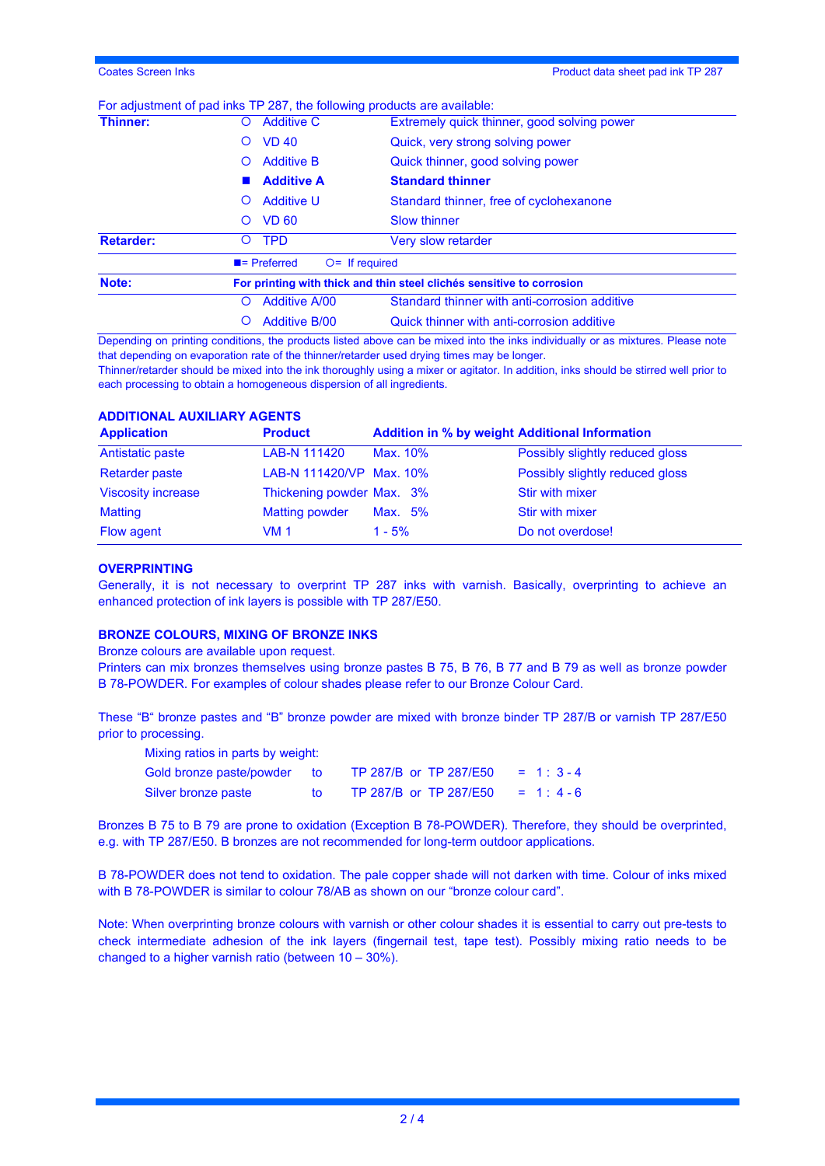#### For adjustment of pad inks TP 287, the following products are available:

| Thinner:         | <b>Additive C</b><br>Ő                       | Extremely quick thinner, good solving power                           |  |  |
|------------------|----------------------------------------------|-----------------------------------------------------------------------|--|--|
|                  | <b>VD 40</b><br>Ő                            | Quick, very strong solving power                                      |  |  |
|                  | <b>Additive B</b><br>Ő                       | Quick thinner, good solving power                                     |  |  |
|                  | <b>Additive A</b>                            | <b>Standard thinner</b>                                               |  |  |
|                  | <b>Additive U</b><br>O                       | Standard thinner, free of cyclohexanone                               |  |  |
|                  | <b>VD 60</b><br>O                            | <b>Slow thinner</b>                                                   |  |  |
| <b>Retarder:</b> | <b>TPD</b><br>O                              | <b>Very slow retarder</b>                                             |  |  |
|                  | $\blacksquare$ Preferred<br>$O=$ If required |                                                                       |  |  |
| Note:            |                                              | For printing with thick and thin steel clichés sensitive to corrosion |  |  |
|                  | <b>Additive A/00</b><br>O                    | Standard thinner with anti-corrosion additive                         |  |  |
|                  | <b>Additive B/00</b>                         | Quick thinner with anti-corrosion additive                            |  |  |

Depending on printing conditions, the products listed above can be mixed into the inks individually or as mixtures. Please note that depending on evaporation rate of the thinner/retarder used drying times may be longer.

Thinner/retarder should be mixed into the ink thoroughly using a mixer or agitator. In addition, inks should be stirred well prior to each processing to obtain a homogeneous dispersion of all ingredients.

#### **ADDITIONAL AUXILIARY AGENTS**

| <b>Application</b>        | <b>Product</b>            | <b>Addition in % by weight Additional Information</b> |                                 |
|---------------------------|---------------------------|-------------------------------------------------------|---------------------------------|
| Antistatic paste          | LAB-N 111420              | Max. 10%                                              | Possibly slightly reduced gloss |
| <b>Retarder paste</b>     | LAB-N 111420/VP Max. 10%  |                                                       | Possibly slightly reduced gloss |
| <b>Viscosity increase</b> | Thickening powder Max. 3% |                                                       | Stir with mixer                 |
| <b>Matting</b>            | <b>Matting powder</b>     | Max. 5%                                               | <b>Stir with mixer</b>          |
| Flow agent                | VM 1                      | $1 - 5%$                                              | Do not overdose!                |

#### **OVERPRINTING**

Generally, it is not necessary to overprint TP 287 inks with varnish. Basically, overprinting to achieve an enhanced protection of ink layers is possible with TP 287/E50.

#### **BRONZE COLOURS, MIXING OF BRONZE INKS**

Bronze colours are available upon request.

Printers can mix bronzes themselves using bronze pastes B 75, B 76, B 77 and B 79 as well as bronze powder B 78-POWDER. For examples of colour shades please refer to our Bronze Colour Card.

These "B" bronze pastes and "B" bronze powder are mixed with bronze binder TP 287/B or varnish TP 287/E50 prior to processing.

| Mixing ratios in parts by weight: |     |                        |            |  |  |
|-----------------------------------|-----|------------------------|------------|--|--|
| Gold bronze paste/powder          | tΩ  | TP 287/B or TP 287/E50 | $= 1: 3-4$ |  |  |
| Silver bronze paste               | tΩ. | TP 287/B or TP 287/E50 | $= 1: 4-6$ |  |  |

Bronzes B 75 to B 79 are prone to oxidation (Exception B 78-POWDER). Therefore, they should be overprinted, e.g. with TP 287/E50. B bronzes are not recommended for long-term outdoor applications.

B 78-POWDER does not tend to oxidation. The pale copper shade will not darken with time. Colour of inks mixed with B 78-POWDER is similar to colour 78/AB as shown on our "bronze colour card".

Note: When overprinting bronze colours with varnish or other colour shades it is essential to carry out pre-tests to check intermediate adhesion of the ink layers (fingernail test, tape test). Possibly mixing ratio needs to be changed to a higher varnish ratio (between 10 – 30%).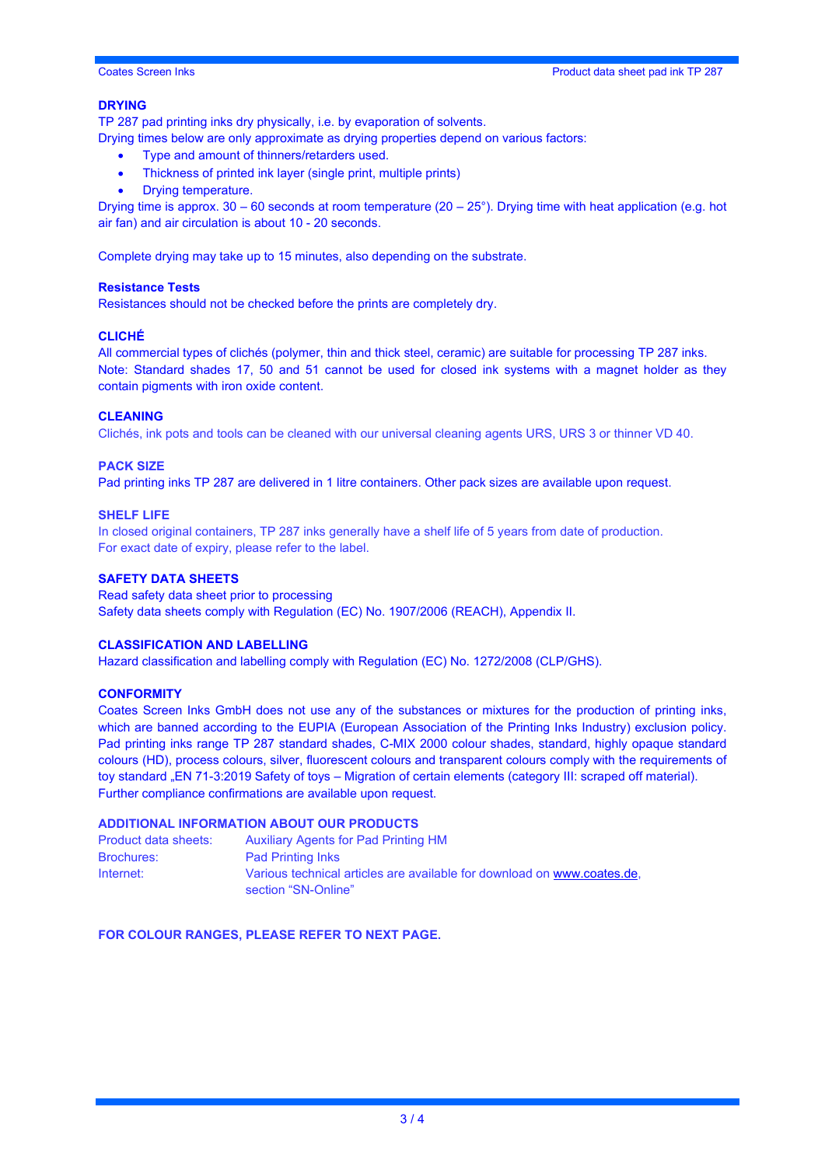#### **DRYING**

TP 287 pad printing inks dry physically, i.e. by evaporation of solvents.

Drying times below are only approximate as drying properties depend on various factors:

- Type and amount of thinners/retarders used.
- Thickness of printed ink layer (single print, multiple prints)
- Drying temperature.

Drying time is approx. 30 – 60 seconds at room temperature (20 – 25°). Drying time with heat application (e.g. hot air fan) and air circulation is about 10 - 20 seconds.

Complete drying may take up to 15 minutes, also depending on the substrate.

#### **Resistance Tests**

Resistances should not be checked before the prints are completely dry.

#### **CLICHÉ**

All commercial types of clichés (polymer, thin and thick steel, ceramic) are suitable for processing TP 287 inks. Note: Standard shades 17, 50 and 51 cannot be used for closed ink systems with a magnet holder as they contain pigments with iron oxide content.

#### **CLEANING**

Clichés, ink pots and tools can be cleaned with our universal cleaning agents URS, URS 3 or thinner VD 40.

#### **PACK SIZE**

Pad printing inks TP 287 are delivered in 1 litre containers. Other pack sizes are available upon request.

#### **SHELF LIFE**

In closed original containers, TP 287 inks generally have a shelf life of 5 years from date of production. For exact date of expiry, please refer to the label.

#### **SAFETY DATA SHEETS**

Read safety data sheet prior to processing Safety data sheets comply with Regulation (EC) No. 1907/2006 (REACH), Appendix II.

#### **CLASSIFICATION AND LABELLING**

Hazard classification and labelling comply with Regulation (EC) No. 1272/2008 (CLP/GHS).

#### **CONFORMITY**

Coates Screen Inks GmbH does not use any of the substances or mixtures for the production of printing inks, which are banned according to the EUPIA (European Association of the Printing Inks Industry) exclusion policy. Pad printing inks range TP 287 standard shades, C-MIX 2000 colour shades, standard, highly opaque standard colours (HD), process colours, silver, fluorescent colours and transparent colours comply with the requirements of toy standard "EN 71-3:2019 Safety of toys – Migration of certain elements (category III: scraped off material). Further compliance confirmations are available upon request.

#### **ADDITIONAL INFORMATION ABOUT OUR PRODUCTS**

| Product data sheets: | <b>Auxiliary Agents for Pad Printing HM</b>                                                    |
|----------------------|------------------------------------------------------------------------------------------------|
| <b>Brochures:</b>    | <b>Pad Printing Inks</b>                                                                       |
| Internet:            | Various technical articles are available for download on www.coates.de.<br>section "SN-Online" |

**FOR COLOUR RANGES, PLEASE REFER TO NEXT PAGE.**